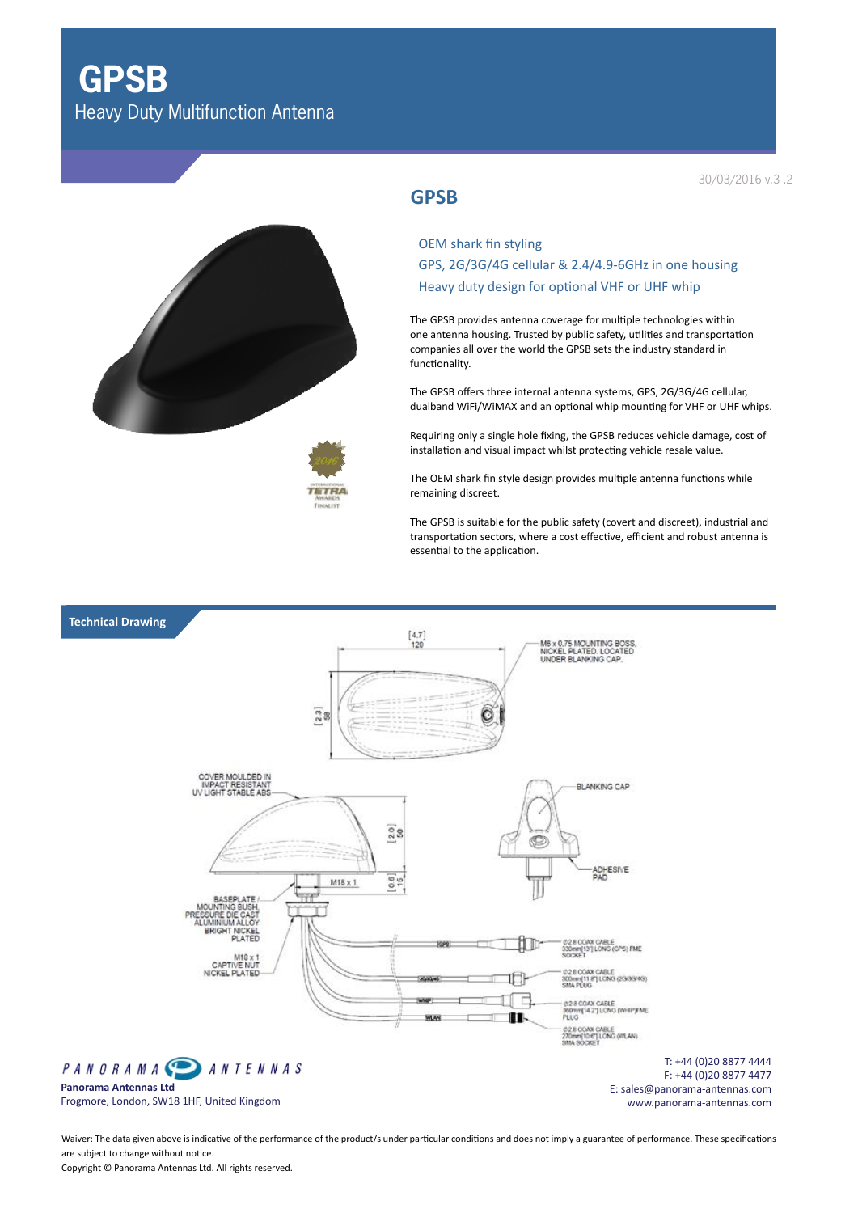**GPSB** Heavy Duty Multifunction Antenna





## **GPSB**

OEM shark fin styling GPS, 2G/3G/4G cellular & 2.4/4.9-6GHz in one housing Heavy duty design for optional VHF or UHF whip

The GPSB provides antenna coverage for multiple technologies within one antenna housing. Trusted by public safety, utilities and transportation companies all over the world the GPSB sets the industry standard in functionality.

The GPSB offers three internal antenna systems, GPS, 2G/3G/4G cellular, dualband WiFi/WiMAX and an optional whip mounting for VHF or UHF whips.

Requiring only a single hole fixing, the GPSB reduces vehicle damage, cost of installation and visual impact whilst protecting vehicle resale value.

The OEM shark fin style design provides multiple antenna functions while remaining discreet.

The GPSB is suitable for the public safety (covert and discreet), industrial and transportation sectors, where a cost effective, efficient and robust antenna is essential to the application.



Waiver: The data given above is indicative of the performance of the product/s under particular conditions and does not imply a guarantee of performance. These specifications are subject to change without notice. Copyright © Panorama Antennas Ltd. All rights reserved.

30/03/2016 v.3 .2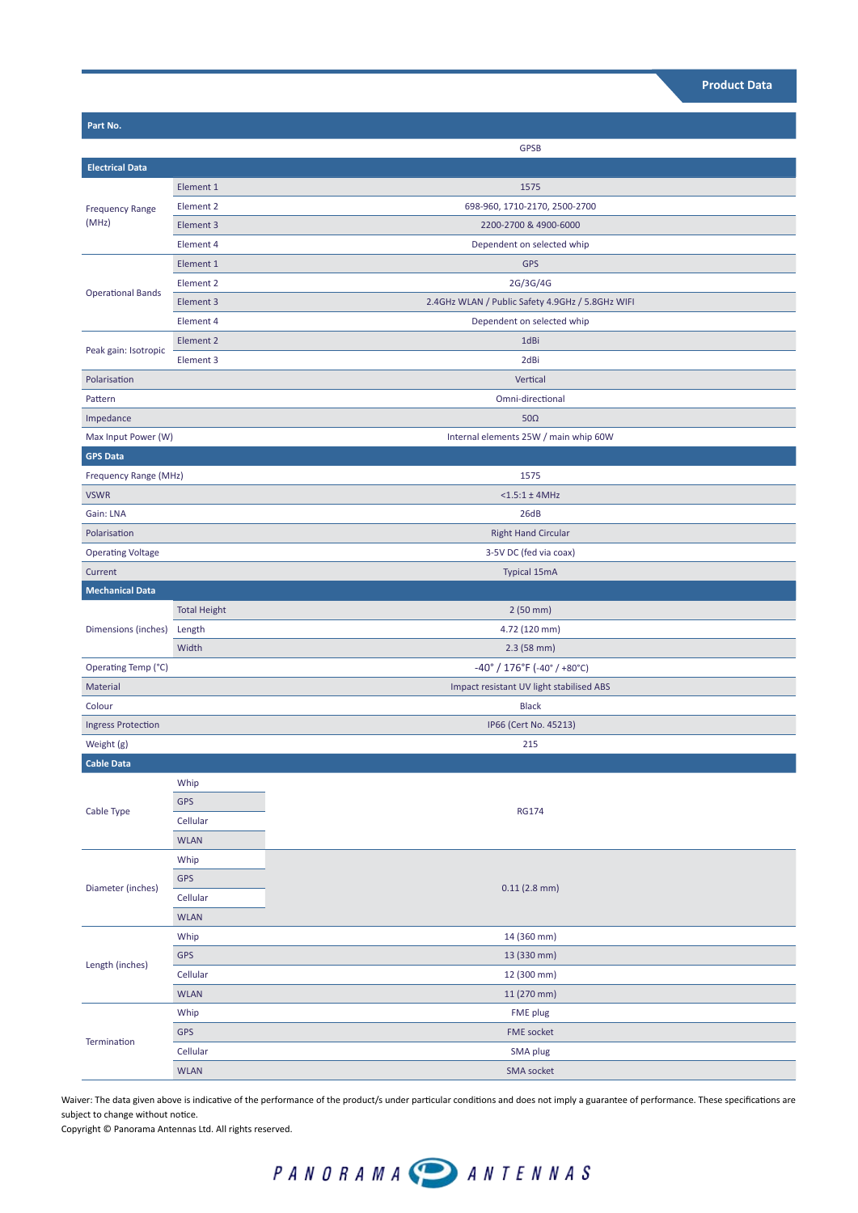| Part No.                                             |                     |                                                  |  |
|------------------------------------------------------|---------------------|--------------------------------------------------|--|
|                                                      |                     | <b>GPSB</b>                                      |  |
| <b>Electrical Data</b>                               |                     |                                                  |  |
| <b>Frequency Range</b><br>(MHz)                      | Element 1           | 1575                                             |  |
|                                                      | Element 2           | 698-960, 1710-2170, 2500-2700                    |  |
|                                                      | Element 3           | 2200-2700 & 4900-6000                            |  |
|                                                      | Element 4           | Dependent on selected whip                       |  |
| <b>Operational Bands</b>                             | Element 1           | <b>GPS</b>                                       |  |
|                                                      | Element 2           | 2G/3G/4G                                         |  |
|                                                      | Element 3           | 2.4GHz WLAN / Public Safety 4.9GHz / 5.8GHz WIFI |  |
|                                                      | Element 4           | Dependent on selected whip                       |  |
| Peak gain: Isotropic                                 | Element 2           | 1dBi                                             |  |
|                                                      | Element 3           | 2dBi                                             |  |
| Polarisation                                         |                     | Vertical                                         |  |
| Pattern                                              |                     | Omni-directional                                 |  |
| Impedance                                            |                     | $50\Omega$                                       |  |
| Max Input Power (W)                                  |                     | Internal elements 25W / main whip 60W            |  |
| <b>GPS Data</b>                                      |                     |                                                  |  |
| 1575                                                 |                     |                                                  |  |
| Frequency Range (MHz)<br><b>VSWR</b>                 |                     | $<$ 1.5:1 $\pm$ 4MHz                             |  |
| Gain: LNA                                            |                     |                                                  |  |
| Polarisation                                         |                     | 26dB                                             |  |
|                                                      |                     | <b>Right Hand Circular</b>                       |  |
| <b>Operating Voltage</b>                             |                     | 3-5V DC (fed via coax)                           |  |
| Current                                              |                     | <b>Typical 15mA</b>                              |  |
| <b>Mechanical Data</b><br>Dimensions (inches) Length |                     |                                                  |  |
|                                                      | <b>Total Height</b> | 2(50 mm)                                         |  |
|                                                      |                     | 4.72 (120 mm)                                    |  |
|                                                      | Width               | $2.3(58$ mm)                                     |  |
| Operating Temp (°C)                                  |                     | $-40^{\circ}$ / 176°F (-40° / +80°C)             |  |
| Material                                             |                     | Impact resistant UV light stabilised ABS         |  |
| Colour                                               |                     | <b>Black</b>                                     |  |
| <b>Ingress Protection</b>                            |                     | IP66 (Cert No. 45213)                            |  |
| Weight (g)                                           |                     | 215                                              |  |
| Cable Data                                           |                     |                                                  |  |
| Cable Type                                           | Whip                |                                                  |  |
|                                                      | <b>GPS</b>          | <b>RG174</b>                                     |  |
|                                                      | Cellular            |                                                  |  |
|                                                      | <b>WLAN</b>         |                                                  |  |
| Diameter (inches)                                    | Whip                |                                                  |  |
|                                                      | GPS                 | $0.11$ (2.8 mm)                                  |  |
|                                                      | Cellular            |                                                  |  |
|                                                      | <b>WLAN</b>         |                                                  |  |
| Length (inches)                                      | Whip                | 14 (360 mm)                                      |  |
|                                                      | GPS                 | 13 (330 mm)                                      |  |
|                                                      | Cellular            | 12 (300 mm)                                      |  |
|                                                      | <b>WLAN</b>         | 11 (270 mm)                                      |  |
| Termination                                          | Whip                | FME plug                                         |  |
|                                                      | <b>GPS</b>          | FME socket                                       |  |
|                                                      | Cellular            | SMA plug                                         |  |
|                                                      | <b>WLAN</b>         | <b>SMA socket</b>                                |  |

Waiver: The data given above is indicative of the performance of the product/s under particular conditions and does not imply a guarantee of performance. These specifications are subject to change without notice.

Copyright © Panorama Antennas Ltd. All rights reserved.

## PANORAMA **PANTENNAS**